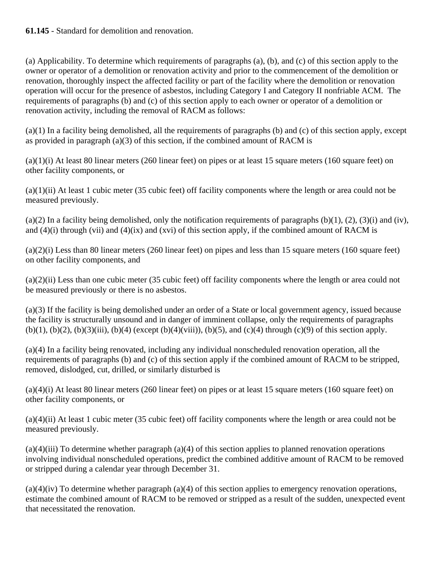(a) Applicability. To determine which requirements of paragraphs (a), (b), and (c) of this section apply to the owner or operator of a demolition or renovation activity and prior to the commencement of the demolition or renovation, thoroughly inspect the affected facility or part of the facility where the demolition or renovation operation will occur for the presence of asbestos, including Category I and Category II nonfriable ACM. The requirements of paragraphs (b) and (c) of this section apply to each owner or operator of a demolition or renovation activity, including the removal of RACM as follows:

(a)(1) In a facility being demolished, all the requirements of paragraphs (b) and (c) of this section apply, except as provided in paragraph (a)(3) of this section, if the combined amount of RACM is

(a)(1)(i) At least 80 linear meters (260 linear feet) on pipes or at least 15 square meters (160 square feet) on other facility components, or

(a)(1)(ii) At least 1 cubic meter (35 cubic feet) off facility components where the length or area could not be measured previously.

 $(a)(2)$  In a facility being demolished, only the notification requirements of paragraphs  $(b)(1)$ ,  $(2)$ ,  $(3)(i)$  and (iv), and  $(4)(i)$  through (vii) and  $(4)(ix)$  and (xvi) of this section apply, if the combined amount of RACM is

 $(a)(2)(i)$  Less than 80 linear meters (260 linear feet) on pipes and less than 15 square meters (160 square feet) on other facility components, and

(a)(2)(ii) Less than one cubic meter (35 cubic feet) off facility components where the length or area could not be measured previously or there is no asbestos.

(a)(3) If the facility is being demolished under an order of a State or local government agency, issued because the facility is structurally unsound and in danger of imminent collapse, only the requirements of paragraphs (b)(1), (b)(2), (b)(3)(iii), (b)(4) (except (b)(4)(viii)), (b)(5), and (c)(4) through (c)(9) of this section apply.

(a)(4) In a facility being renovated, including any individual nonscheduled renovation operation, all the requirements of paragraphs (b) and (c) of this section apply if the combined amount of RACM to be stripped, removed, dislodged, cut, drilled, or similarly disturbed is

 $(a)(4)(i)$  At least 80 linear meters (260 linear feet) on pipes or at least 15 square meters (160 square feet) on other facility components, or

(a)(4)(ii) At least 1 cubic meter (35 cubic feet) off facility components where the length or area could not be measured previously.

 $(a)(4)(iii)$  To determine whether paragraph  $(a)(4)$  of this section applies to planned renovation operations involving individual nonscheduled operations, predict the combined additive amount of RACM to be removed or stripped during a calendar year through December 31.

 $(a)(4)(iv)$  To determine whether paragraph  $(a)(4)$  of this section applies to emergency renovation operations, estimate the combined amount of RACM to be removed or stripped as a result of the sudden, unexpected event that necessitated the renovation.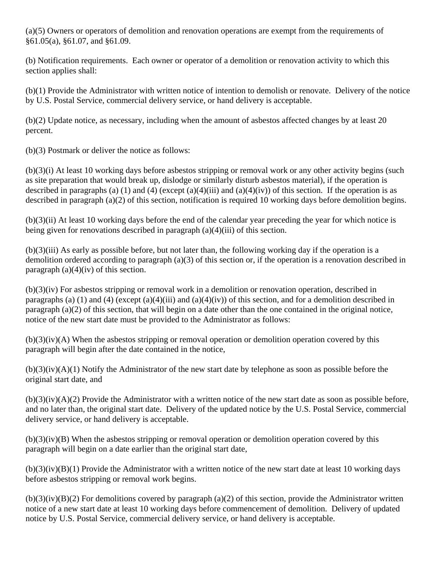(a)(5) Owners or operators of demolition and renovation operations are exempt from the requirements of §61.05(a), §61.07, and §61.09.

(b) Notification requirements. Each owner or operator of a demolition or renovation activity to which this section applies shall:

(b)(1) Provide the Administrator with written notice of intention to demolish or renovate. Delivery of the notice by U.S. Postal Service, commercial delivery service, or hand delivery is acceptable.

(b)(2) Update notice, as necessary, including when the amount of asbestos affected changes by at least 20 percent.

(b)(3) Postmark or deliver the notice as follows:

(b)(3)(i) At least 10 working days before asbestos stripping or removal work or any other activity begins (such as site preparation that would break up, dislodge or similarly disturb asbestos material), if the operation is described in paragraphs (a) (1) and (4) (except (a)(4)(iii) and (a)(4)(iv)) of this section. If the operation is as described in paragraph (a)(2) of this section, notification is required 10 working days before demolition begins.

(b)(3)(ii) At least 10 working days before the end of the calendar year preceding the year for which notice is being given for renovations described in paragraph  $(a)(4)(iii)$  of this section.

(b)(3)(iii) As early as possible before, but not later than, the following working day if the operation is a demolition ordered according to paragraph (a)(3) of this section or, if the operation is a renovation described in paragraph  $(a)(4)(iv)$  of this section.

(b)(3)(iv) For asbestos stripping or removal work in a demolition or renovation operation, described in paragraphs (a) (1) and (4) (except (a)(4)(iii) and (a)(4)(iv)) of this section, and for a demolition described in paragraph (a)(2) of this section, that will begin on a date other than the one contained in the original notice, notice of the new start date must be provided to the Administrator as follows:

(b)(3)(iv)(A) When the asbestos stripping or removal operation or demolition operation covered by this paragraph will begin after the date contained in the notice,

 $(b)(3)(iv)(A)(1)$  Notify the Administrator of the new start date by telephone as soon as possible before the original start date, and

 $(b)(3)(iv)(A)(2)$  Provide the Administrator with a written notice of the new start date as soon as possible before, and no later than, the original start date. Delivery of the updated notice by the U.S. Postal Service, commercial delivery service, or hand delivery is acceptable.

(b)(3)(iv)(B) When the asbestos stripping or removal operation or demolition operation covered by this paragraph will begin on a date earlier than the original start date,

 $(b)(3)(iv)(B)(1)$  Provide the Administrator with a written notice of the new start date at least 10 working days before asbestos stripping or removal work begins.

 $(b)(3)(iv)(B)(2)$  For demolitions covered by paragraph (a)(2) of this section, provide the Administrator written notice of a new start date at least 10 working days before commencement of demolition. Delivery of updated notice by U.S. Postal Service, commercial delivery service, or hand delivery is acceptable.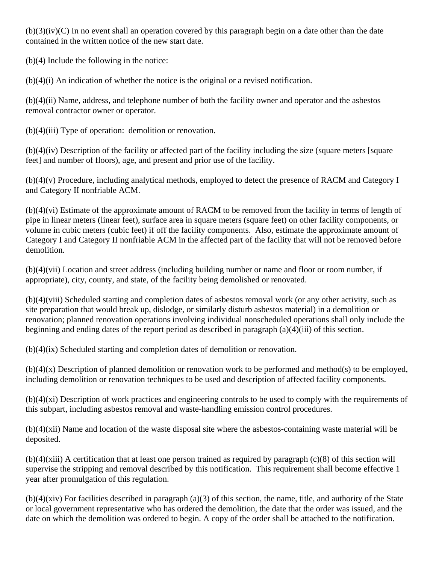$(b)(3)(iv)(C)$  In no event shall an operation covered by this paragraph begin on a date other than the date contained in the written notice of the new start date.

(b)(4) Include the following in the notice:

(b)(4)(i) An indication of whether the notice is the original or a revised notification.

(b)(4)(ii) Name, address, and telephone number of both the facility owner and operator and the asbestos removal contractor owner or operator.

(b)(4)(iii) Type of operation: demolition or renovation.

(b)(4)(iv) Description of the facility or affected part of the facility including the size (square meters [square feet] and number of floors), age, and present and prior use of the facility.

(b)(4)(v) Procedure, including analytical methods, employed to detect the presence of RACM and Category I and Category II nonfriable ACM.

(b)(4)(vi) Estimate of the approximate amount of RACM to be removed from the facility in terms of length of pipe in linear meters (linear feet), surface area in square meters (square feet) on other facility components, or volume in cubic meters (cubic feet) if off the facility components. Also, estimate the approximate amount of Category I and Category II nonfriable ACM in the affected part of the facility that will not be removed before demolition.

(b)(4)(vii) Location and street address (including building number or name and floor or room number, if appropriate), city, county, and state, of the facility being demolished or renovated.

(b)(4)(viii) Scheduled starting and completion dates of asbestos removal work (or any other activity, such as site preparation that would break up, dislodge, or similarly disturb asbestos material) in a demolition or renovation; planned renovation operations involving individual nonscheduled operations shall only include the beginning and ending dates of the report period as described in paragraph (a)(4)(iii) of this section.

(b)(4)(ix) Scheduled starting and completion dates of demolition or renovation.

(b)(4)(x) Description of planned demolition or renovation work to be performed and method(s) to be employed, including demolition or renovation techniques to be used and description of affected facility components.

(b)(4)(xi) Description of work practices and engineering controls to be used to comply with the requirements of this subpart, including asbestos removal and waste-handling emission control procedures.

(b)(4)(xii) Name and location of the waste disposal site where the asbestos-containing waste material will be deposited.

 $(b)(4)(xiii)$  A certification that at least one person trained as required by paragraph  $(c)(8)$  of this section will supervise the stripping and removal described by this notification. This requirement shall become effective 1 year after promulgation of this regulation.

 $(b)(4)(xiv)$  For facilities described in paragraph  $(a)(3)$  of this section, the name, title, and authority of the State or local government representative who has ordered the demolition, the date that the order was issued, and the date on which the demolition was ordered to begin. A copy of the order shall be attached to the notification.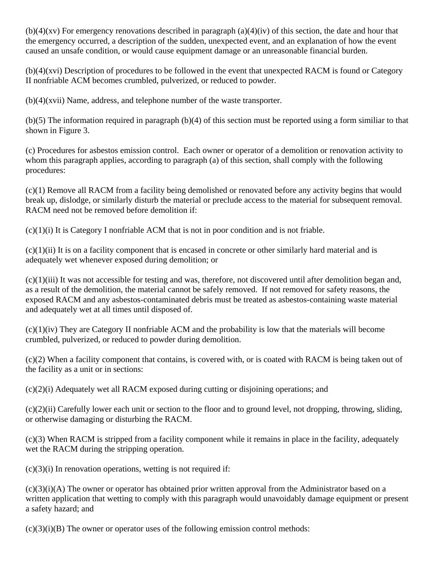(b)(4)(xv) For emergency renovations described in paragraph (a)(4)(iv) of this section, the date and hour that the emergency occurred, a description of the sudden, unexpected event, and an explanation of how the event caused an unsafe condition, or would cause equipment damage or an unreasonable financial burden.

(b)(4)(xvi) Description of procedures to be followed in the event that unexpected RACM is found or Category II nonfriable ACM becomes crumbled, pulverized, or reduced to powder.

 $(b)(4)(xvii)$  Name, address, and telephone number of the waste transporter.

(b)(5) The information required in paragraph (b)(4) of this section must be reported using a form similiar to that shown in Figure 3.

(c) Procedures for asbestos emission control. Each owner or operator of a demolition or renovation activity to whom this paragraph applies, according to paragraph (a) of this section, shall comply with the following procedures:

(c)(1) Remove all RACM from a facility being demolished or renovated before any activity begins that would break up, dislodge, or similarly disturb the material or preclude access to the material for subsequent removal. RACM need not be removed before demolition if:

 $(c)(1)(i)$  It is Category I nonfriable ACM that is not in poor condition and is not friable.

 $(c)(1)(ii)$  It is on a facility component that is encased in concrete or other similarly hard material and is adequately wet whenever exposed during demolition; or

(c)(1)(iii) It was not accessible for testing and was, therefore, not discovered until after demolition began and, as a result of the demolition, the material cannot be safely removed. If not removed for safety reasons, the exposed RACM and any asbestos-contaminated debris must be treated as asbestos-containing waste material and adequately wet at all times until disposed of.

 $(c)(1)(iv)$  They are Category II nonfriable ACM and the probability is low that the materials will become crumbled, pulverized, or reduced to powder during demolition.

(c)(2) When a facility component that contains, is covered with, or is coated with RACM is being taken out of the facility as a unit or in sections:

(c)(2)(i) Adequately wet all RACM exposed during cutting or disjoining operations; and

(c)(2)(ii) Carefully lower each unit or section to the floor and to ground level, not dropping, throwing, sliding, or otherwise damaging or disturbing the RACM.

(c)(3) When RACM is stripped from a facility component while it remains in place in the facility, adequately wet the RACM during the stripping operation.

 $(c)(3)(i)$  In renovation operations, wetting is not required if:

 $(c)(3)(i)(A)$  The owner or operator has obtained prior written approval from the Administrator based on a written application that wetting to comply with this paragraph would unavoidably damage equipment or present a safety hazard; and

 $(c)(3)(i)(B)$  The owner or operator uses of the following emission control methods: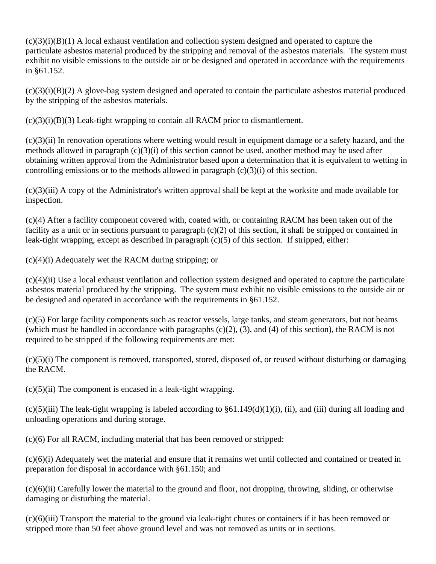$(c)(3)(i)(B)(1)$  A local exhaust ventilation and collection system designed and operated to capture the particulate asbestos material produced by the stripping and removal of the asbestos materials. The system must exhibit no visible emissions to the outside air or be designed and operated in accordance with the requirements in §61.152.

 $(c)(3)(i)(B)(2)$  A glove-bag system designed and operated to contain the particulate asbestos material produced by the stripping of the asbestos materials.

 $(c)(3)(i)(B)(3)$  Leak-tight wrapping to contain all RACM prior to dismantlement.

(c)(3)(ii) In renovation operations where wetting would result in equipment damage or a safety hazard, and the methods allowed in paragraph (c)(3)(i) of this section cannot be used, another method may be used after obtaining written approval from the Administrator based upon a determination that it is equivalent to wetting in controlling emissions or to the methods allowed in paragraph  $(c)(3)(i)$  of this section.

(c)(3)(iii) A copy of the Administrator's written approval shall be kept at the worksite and made available for inspection.

(c)(4) After a facility component covered with, coated with, or containing RACM has been taken out of the facility as a unit or in sections pursuant to paragraph  $(c)(2)$  of this section, it shall be stripped or contained in leak-tight wrapping, except as described in paragraph (c)(5) of this section. If stripped, either:

(c)(4)(i) Adequately wet the RACM during stripping; or

(c)(4)(ii) Use a local exhaust ventilation and collection system designed and operated to capture the particulate asbestos material produced by the stripping. The system must exhibit no visible emissions to the outside air or be designed and operated in accordance with the requirements in §61.152.

(c)(5) For large facility components such as reactor vessels, large tanks, and steam generators, but not beams (which must be handled in accordance with paragraphs  $(c)(2)$ ,  $(3)$ , and  $(4)$  of this section), the RACM is not required to be stripped if the following requirements are met:

(c)(5)(i) The component is removed, transported, stored, disposed of, or reused without disturbing or damaging the RACM.

 $(c)(5)(ii)$  The component is encased in a leak-tight wrapping.

 $(c)(5)(iii)$  The leak-tight wrapping is labeled according to  $\S61.149(d)(1)(i)$ , (ii), and (iii) during all loading and unloading operations and during storage.

(c)(6) For all RACM, including material that has been removed or stripped:

(c)(6)(i) Adequately wet the material and ensure that it remains wet until collected and contained or treated in preparation for disposal in accordance with §61.150; and

(c)(6)(ii) Carefully lower the material to the ground and floor, not dropping, throwing, sliding, or otherwise damaging or disturbing the material.

(c)(6)(iii) Transport the material to the ground via leak-tight chutes or containers if it has been removed or stripped more than 50 feet above ground level and was not removed as units or in sections.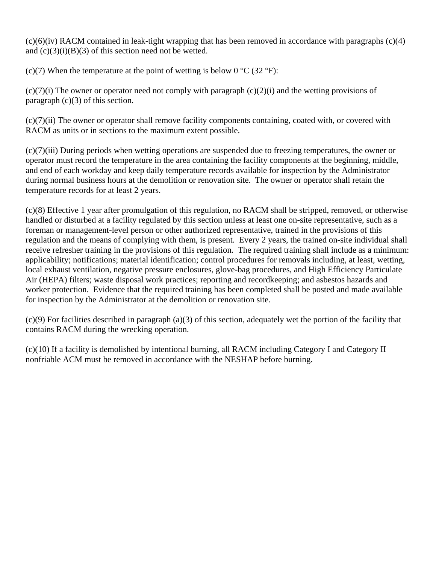$(c)(6)(iv)$  RACM contained in leak-tight wrapping that has been removed in accordance with paragraphs  $(c)(4)$ and  $(c)(3)(i)(B)(3)$  of this section need not be wetted.

(c)(7) When the temperature at the point of wetting is below  $0^{\circ}C$  (32  $^{\circ}F$ ):

 $(c)(7)(i)$  The owner or operator need not comply with paragraph  $(c)(2)(i)$  and the wetting provisions of paragraph  $(c)(3)$  of this section.

(c)(7)(ii) The owner or operator shall remove facility components containing, coated with, or covered with RACM as units or in sections to the maximum extent possible.

(c)(7)(iii) During periods when wetting operations are suspended due to freezing temperatures, the owner or operator must record the temperature in the area containing the facility components at the beginning, middle, and end of each workday and keep daily temperature records available for inspection by the Administrator during normal business hours at the demolition or renovation site. The owner or operator shall retain the temperature records for at least 2 years.

(c)(8) Effective 1 year after promulgation of this regulation, no RACM shall be stripped, removed, or otherwise handled or disturbed at a facility regulated by this section unless at least one on-site representative, such as a foreman or management-level person or other authorized representative, trained in the provisions of this regulation and the means of complying with them, is present. Every 2 years, the trained on-site individual shall receive refresher training in the provisions of this regulation. The required training shall include as a minimum: applicability; notifications; material identification; control procedures for removals including, at least, wetting, local exhaust ventilation, negative pressure enclosures, glove-bag procedures, and High Efficiency Particulate Air (HEPA) filters; waste disposal work practices; reporting and recordkeeping; and asbestos hazards and worker protection. Evidence that the required training has been completed shall be posted and made available for inspection by the Administrator at the demolition or renovation site.

(c)(9) For facilities described in paragraph (a)(3) of this section, adequately wet the portion of the facility that contains RACM during the wrecking operation.

(c)(10) If a facility is demolished by intentional burning, all RACM including Category I and Category II nonfriable ACM must be removed in accordance with the NESHAP before burning.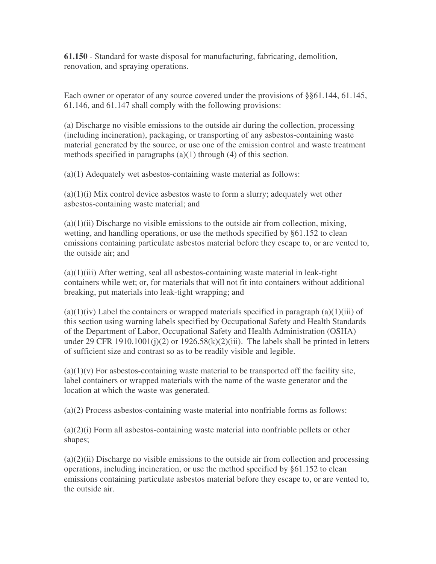**61.150** - Standard for waste disposal for manufacturing, fabricating, demolition, renovation, and spraying operations.

Each owner or operator of any source covered under the provisions of §§61.144, 61.145, 61.146, and 61.147 shall comply with the following provisions:

(a) Discharge no visible emissions to the outside air during the collection, processing (including incineration), packaging, or transporting of any asbestos-containing waste material generated by the source, or use one of the emission control and waste treatment methods specified in paragraphs (a)(1) through (4) of this section.

(a)(1) Adequately wet asbestos-containing waste material as follows:

 $(a)(1)(i)$  Mix control device asbestos waste to form a slurry; adequately wet other asbestos-containing waste material; and

 $(a)(1)(ii)$  Discharge no visible emissions to the outside air from collection, mixing, wetting, and handling operations, or use the methods specified by §61.152 to clean emissions containing particulate asbestos material before they escape to, or are vented to, the outside air; and

 $(a)(1)(iii)$  After wetting, seal all asbestos-containing waste material in leak-tight containers while wet; or, for materials that will not fit into containers without additional breaking, put materials into leak-tight wrapping; and

 $(a)(1)(iv)$  Label the containers or wrapped materials specified in paragraph  $(a)(1)(iii)$  of this section using warning labels specified by Occupational Safety and Health Standards of the Department of Labor, Occupational Safety and Health Administration (OSHA) under 29 CFR 1910.1001(j)(2) or  $1926.58(k)(2)$ (iii). The labels shall be printed in letters of sufficient size and contrast so as to be readily visible and legible.

 $(a)(1)(v)$  For asbestos-containing waste material to be transported off the facility site, label containers or wrapped materials with the name of the waste generator and the location at which the waste was generated.

(a)(2) Process asbestos-containing waste material into nonfriable forms as follows:

 $(a)(2)(i)$  Form all asbestos-containing waste material into nonfriable pellets or other shapes;

 $(a)(2)(ii)$  Discharge no visible emissions to the outside air from collection and processing operations, including incineration, or use the method specified by §61.152 to clean emissions containing particulate asbestos material before they escape to, or are vented to, the outside air.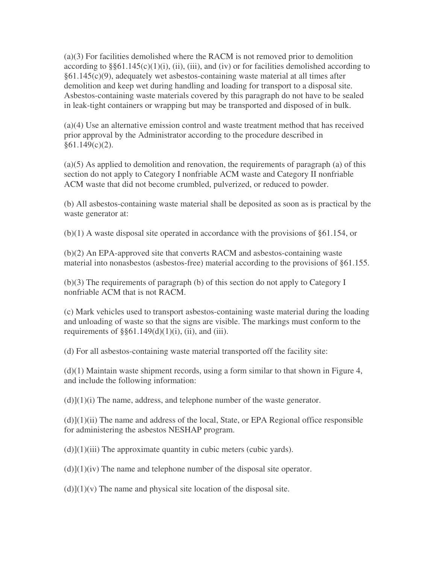(a)(3) For facilities demolished where the RACM is not removed prior to demolition according to  $\S\S61.145(c)(1)(i)$ , (ii), (iii), and (iv) or for facilities demolished according to §61.145(c)(9), adequately wet asbestos-containing waste material at all times after demolition and keep wet during handling and loading for transport to a disposal site. Asbestos-containing waste materials covered by this paragraph do not have to be sealed in leak-tight containers or wrapping but may be transported and disposed of in bulk.

(a)(4) Use an alternative emission control and waste treatment method that has received prior approval by the Administrator according to the procedure described in  $§61.149(c)(2)$ .

(a)(5) As applied to demolition and renovation, the requirements of paragraph (a) of this section do not apply to Category I nonfriable ACM waste and Category II nonfriable ACM waste that did not become crumbled, pulverized, or reduced to powder.

(b) All asbestos-containing waste material shall be deposited as soon as is practical by the waste generator at:

(b)(1) A waste disposal site operated in accordance with the provisions of §61.154, or

(b)(2) An EPA-approved site that converts RACM and asbestos-containing waste material into nonasbestos (asbestos-free) material according to the provisions of §61.155.

(b)(3) The requirements of paragraph (b) of this section do not apply to Category I nonfriable ACM that is not RACM.

(c) Mark vehicles used to transport asbestos-containing waste material during the loading and unloading of waste so that the signs are visible. The markings must conform to the requirements of  $\S$ §61.149(d)(1)(i), (ii), and (iii).

(d) For all asbestos-containing waste material transported off the facility site:

 $(d)(1)$  Maintain waste shipment records, using a form similar to that shown in Figure 4, and include the following information:

 $(d)$ ](1)(i) The name, address, and telephone number of the waste generator.

 $(d)$ ](1)(ii) The name and address of the local, State, or EPA Regional office responsible for administering the asbestos NESHAP program.

 $(d)$ ] $(1)(iii)$  The approximate quantity in cubic meters (cubic yards).

 $(d)$ ](1)(iv) The name and telephone number of the disposal site operator.

 $(d)$ [(1)(v) The name and physical site location of the disposal site.